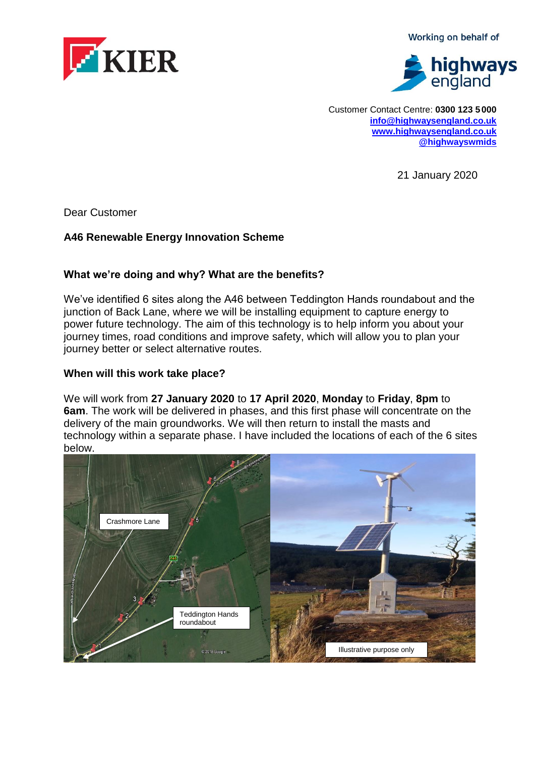KIER

Working on behalf of



Customer Contact Centre: **0300 123 5 000 [info@highwaysengland.co.uk](file:///C:/Users/birdj/AppData/Local/Microsoft/Windows/Temporary%20Internet%20Files/Content.Outlook/3314PJAN/info@highwaysengland.co.uk) [www.highwaysengland.co.uk](http://www.highwaysengland.co.uk/) [@highwayswmids](https://twitter.com/@highwayswmids)**

21 January 2020

Dear Customer

### **A46 Renewable Energy Innovation Scheme**

#### **What we're doing and why? What are the benefits?**

We've identified 6 sites along the A46 between Teddington Hands roundabout and the junction of Back Lane, where we will be installing equipment to capture energy to power future technology. The aim of this technology is to help inform you about your journey times, road conditions and improve safety, which will allow you to plan your journey better or select alternative routes.

### **When will this work take place?**

We will work from **27 January 2020** to **17 April 2020**, **Monday** to **Friday**, **8pm** to **6am**. The work will be delivered in phases, and this first phase will concentrate on the delivery of the main groundworks. We will then return to install the masts and technology within a separate phase. I have included the locations of each of the 6 sites below.